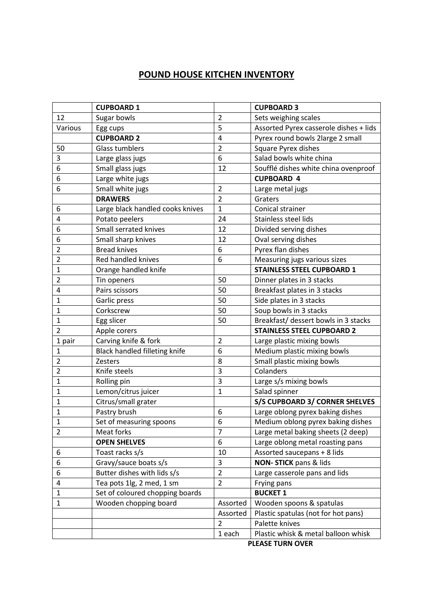## **POUND HOUSE KITCHEN INVENTORY**

|                | <b>CUPBOARD 1</b>                |                | <b>CUPBOARD 3</b>                      |
|----------------|----------------------------------|----------------|----------------------------------------|
| 12             | Sugar bowls                      | $\overline{2}$ | Sets weighing scales                   |
| Various        | Egg cups                         | 5              | Assorted Pyrex casserole dishes + lids |
|                | <b>CUPBOARD 2</b>                | 4              | Pyrex round bowls 2large 2 small       |
| 50             | <b>Glass tumblers</b>            | $\overline{2}$ | <b>Square Pyrex dishes</b>             |
| 3              | Large glass jugs                 | 6              | Salad bowls white china                |
| 6              | Small glass jugs                 | 12             | Soufflé dishes white china ovenproof   |
| 6              | Large white jugs                 |                | <b>CUPBOARD 4</b>                      |
| 6              | Small white jugs                 | $\overline{2}$ | Large metal jugs                       |
|                | <b>DRAWERS</b>                   | $\overline{2}$ | Graters                                |
| 6              | Large black handled cooks knives | $\mathbf{1}$   | Conical strainer                       |
| 4              | Potato peelers                   | 24             | Stainless steel lids                   |
| 6              | Small serrated knives            | 12             | Divided serving dishes                 |
| 6              | Small sharp knives               | 12             | Oval serving dishes                    |
| $\overline{2}$ | <b>Bread knives</b>              | 6              | Pyrex flan dishes                      |
| $\overline{2}$ | Red handled knives               | 6              | Measuring jugs various sizes           |
| $\mathbf{1}$   | Orange handled knife             |                | <b>STAINLESS STEEL CUPBOARD 1</b>      |
| $\overline{2}$ | Tin openers                      | 50             | Dinner plates in 3 stacks              |
| 4              | Pairs scissors                   | 50             | Breakfast plates in 3 stacks           |
| $\mathbf 1$    | Garlic press                     | 50             | Side plates in 3 stacks                |
| 1              | Corkscrew                        | 50             | Soup bowls in 3 stacks                 |
| $\mathbf{1}$   | Egg slicer                       | 50             | Breakfast/ dessert bowls in 3 stacks   |
| $\overline{2}$ | Apple corers                     |                | <b>STAINLESS STEEL CUPBOARD 2</b>      |
| 1 pair         | Carving knife & fork             | $\overline{2}$ | Large plastic mixing bowls             |
| $\mathbf 1$    | Black handled filleting knife    | 6              | Medium plastic mixing bowls            |
| $\overline{2}$ | <b>Zesters</b>                   | 8              | Small plastic mixing bowls             |
| $\overline{2}$ | Knife steels                     | 3              | Colanders                              |
| 1              | Rolling pin                      | 3              | Large s/s mixing bowls                 |
| 1              | Lemon/citrus juicer              | $\mathbf{1}$   | Salad spinner                          |
| $\mathbf{1}$   | Citrus/small grater              |                | S/S CUPBOARD 3/ CORNER SHELVES         |
| 1              | Pastry brush                     | 6              | Large oblong pyrex baking dishes       |
| $\mathbf{1}$   | Set of measuring spoons          | 6              | Medium oblong pyrex baking dishes      |
| $\overline{2}$ | Meat forks                       | $\overline{7}$ | Large metal baking sheets (2 deep)     |
|                | <b>OPEN SHELVES</b>              | 6              | Large oblong metal roasting pans       |
| 6              | Toast racks s/s                  | 10             | Assorted saucepans + 8 lids            |
| 6              | Gravy/sauce boats s/s            | 3              | NON- STICK pans & lids                 |
| 6              | Butter dishes with lids s/s      | $\overline{2}$ | Large casserole pans and lids          |
| 4              | Tea pots 1lg, 2 med, 1 sm        | $\overline{2}$ | Frying pans                            |
| $\mathbf{1}$   | Set of coloured chopping boards  |                | <b>BUCKET 1</b>                        |
| $\mathbf{1}$   | Wooden chopping board            | Assorted       | Wooden spoons & spatulas               |
|                |                                  | Assorted       | Plastic spatulas (not for hot pans)    |
|                |                                  | 2              | Palette knives                         |
|                |                                  | 1 each         | Plastic whisk & metal balloon whisk    |

**PLEASE TURN OVER**